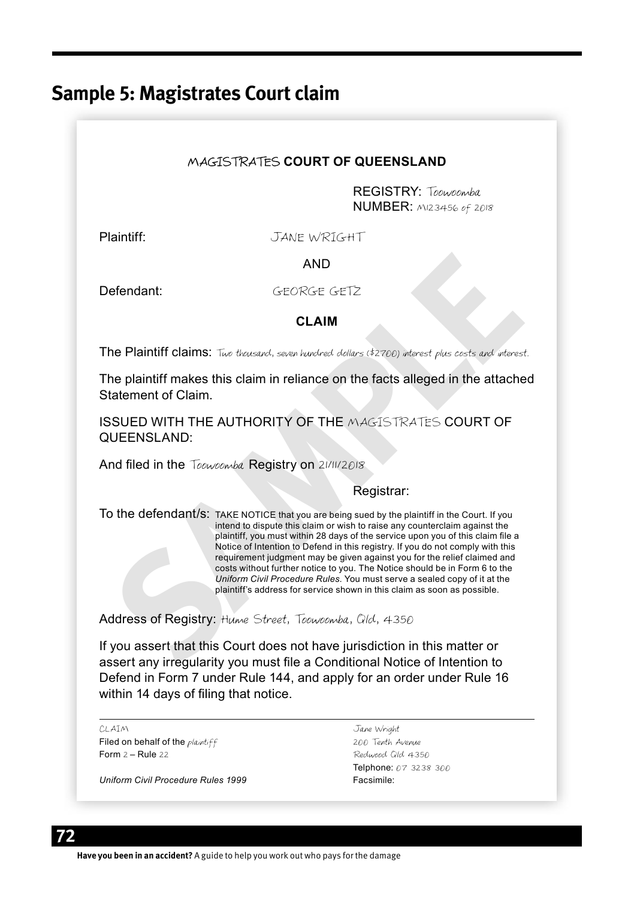# **Sample 5: Magistrates Court claim**

### MAGISTRATES **COURT OF QUEENSLAND**

REGISTRY: Toowoomba **NUMBER:** MI23456 of 2018

Plaintiff: JANE WRIGHT

AND

Defendant: GEORGE GETZ

#### **CLAIM**

The Plaintiff claims: Two thousand, seven hundred dollars (\$2700) interest plus costs and interest.

The plaintiff makes this claim in reliance on the facts alleged in the attached Statement of Claim.

ISSUED WITH THE AUTHORITY OF THE MAGISTRATES COURT OF QUEENSLAND:

And filed in the Toowoomba Registry on 21/11/2018

#### Registrar:

**SECORGE GET2**<br> **SECORGE GET2**<br> **CLAIM**<br>
The Plaintiff claims: Two therefore, therefore delares (42700) where the plaintiff makes this claim in reliance on the facts alleged in the attachement of Claim.<br>
SSUED WITH THE AUT To the defendant/s: TAKE NOTICE that you are being sued by the plaintiff in the Court. If you intend to dispute this claim or wish to raise any counterclaim against the plaintiff, you must within 28 days of the service upon you of this claim file a Notice of Intention to Defend in this registry. If you do not comply with this requirement judgment may be given against you for the relief claimed and costs without further notice to you. The Notice should be in Form 6 to the *Uniform Civil Procedure Rules*. You must serve a sealed copy of it at the plaintiff's address for service shown in this claim as soon as possible.

Address of Registry: Hume Street, Toowoomba, Qld, 4350

If you assert that this Court does not have jurisdiction in this matter or assert any irregularity you must file a Conditional Notice of Intention to Defend in Form 7 under Rule 144, and apply for an order under Rule 16 within 14 days of filing that notice.

CLAIM Jane Wright

Filed on behalf of the *plaintiff* 200 Tenth Avenue<br>
Form 2 – Rule 22<br>
Redward Old 43<sup>3</sup>

*Uniform Civil Procedure Rules 1999* Facsimile:

Redwood Old 4350 Telphone: 07 3238 300